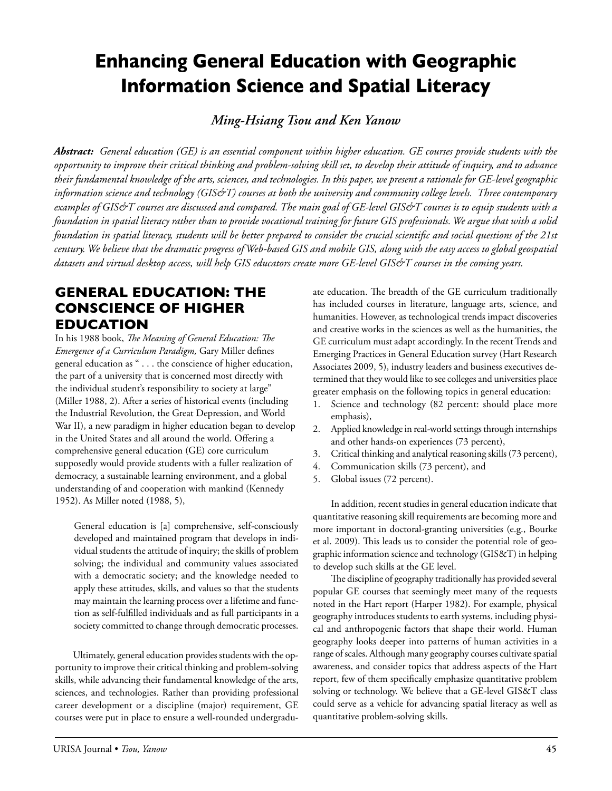# **Enhancing General Education with Geographic Information Science and Spatial Literacy**

*Ming-Hsiang Tsou and Ken Yanow*

*Abstract: General education (GE) is an essential component within higher education. GE courses provide students with the opportunity to improve their critical thinking and problem-solving skill set, to develop their attitude of inquiry, and to advance their fundamental knowledge of the arts, sciences, and technologies. In this paper, we present a rationale for GE-level geographic information science and technology (GIS&T) courses at both the university and community college levels. Three contemporary examples of GIS&T courses are discussed and compared. The main goal of GE-level GIS&T courses is to equip students with a foundation in spatial literacy rather than to provide vocational training for future GIS professionals. We argue that with a solid foundation in spatial literacy, students will be better prepared to consider the crucial scientific and social questions of the 21st century. We believe that the dramatic progress of Web-based GIS and mobile GIS, along with the easy access to global geospatial datasets and virtual desktop access, will help GIS educators create more GE-level GIS&T courses in the coming years.*

## **General Education: The Conscience of Higher Education**

In his 1988 book, *The Meaning of General Education: The Emergence of a Curriculum Paradigm,* Gary Miller defines general education as " . . . the conscience of higher education, the part of a university that is concerned most directly with the individual student's responsibility to society at large" (Miller 1988, 2). After a series of historical events (including the Industrial Revolution, the Great Depression, and World War II), a new paradigm in higher education began to develop in the United States and all around the world. Offering a comprehensive general education (GE) core curriculum supposedly would provide students with a fuller realization of democracy, a sustainable learning environment, and a global understanding of and cooperation with mankind (Kennedy 1952). As Miller noted (1988, 5),

General education is [a] comprehensive, self-consciously developed and maintained program that develops in individual students the attitude of inquiry; the skills of problem solving; the individual and community values associated with a democratic society; and the knowledge needed to apply these attitudes, skills, and values so that the students may maintain the learning process over a lifetime and function as self-fulfilled individuals and as full participants in a society committed to change through democratic processes.

Ultimately, general education provides students with the opportunity to improve their critical thinking and problem-solving skills, while advancing their fundamental knowledge of the arts, sciences, and technologies. Rather than providing professional career development or a discipline (major) requirement, GE courses were put in place to ensure a well-rounded undergraduate education. The breadth of the GE curriculum traditionally has included courses in literature, language arts, science, and humanities. However, as technological trends impact discoveries and creative works in the sciences as well as the humanities, the GE curriculum must adapt accordingly. In the recent Trends and Emerging Practices in General Education survey (Hart Research Associates 2009, 5), industry leaders and business executives determined that they would like to see colleges and universities place greater emphasis on the following topics in general education:

- 1. Science and technology (82 percent: should place more emphasis),
- 2. Applied knowledge in real-world settings through internships and other hands-on experiences (73 percent),
- 3. Critical thinking and analytical reasoning skills (73 percent),
- 4. Communication skills (73 percent), and
- 5. Global issues (72 percent).

In addition, recent studies in general education indicate that quantitative reasoning skill requirements are becoming more and more important in doctoral-granting universities (e.g., Bourke et al. 2009). This leads us to consider the potential role of geographic information science and technology (GIS&T) in helping to develop such skills at the GE level.

The discipline of geography traditionally has provided several popular GE courses that seemingly meet many of the requests noted in the Hart report (Harper 1982). For example, physical geography introduces students to earth systems, including physical and anthropogenic factors that shape their world. Human geography looks deeper into patterns of human activities in a range of scales. Although many geography courses cultivate spatial awareness, and consider topics that address aspects of the Hart report, few of them specifically emphasize quantitative problem solving or technology. We believe that a GE-level GIS&T class could serve as a vehicle for advancing spatial literacy as well as quantitative problem-solving skills.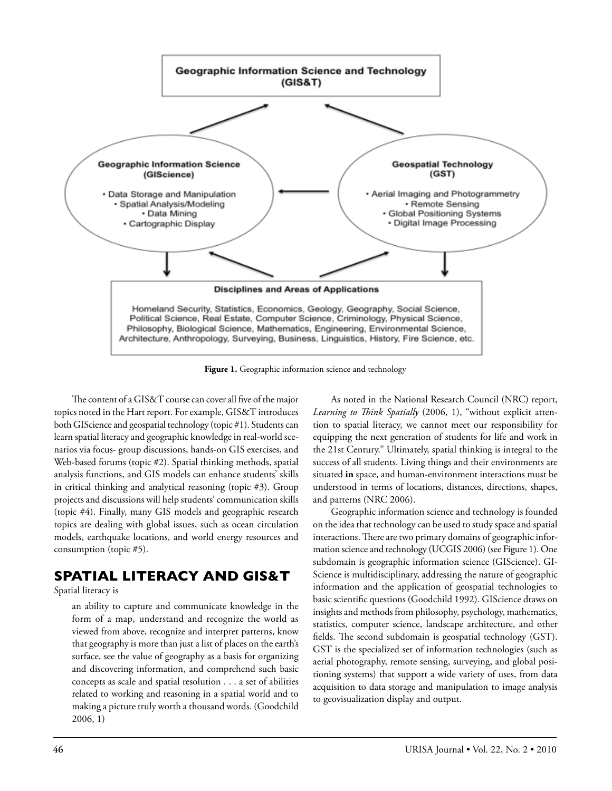

Figure 1. Geographic information science and technology

The content of a GIS&T course can cover all five of the major topics noted in the Hart report. For example, GIS&T introduces both GIScience and geospatial technology (topic #1). Students can learn spatial literacy and geographic knowledge in real-world scenarios via focus- group discussions, hands-on GIS exercises, and Web-based forums (topic #2). Spatial thinking methods, spatial analysis functions, and GIS models can enhance students' skills in critical thinking and analytical reasoning (topic #3). Group projects and discussions will help students' communication skills (topic #4). Finally, many GIS models and geographic research topics are dealing with global issues, such as ocean circulation models, earthquake locations, and world energy resources and consumption (topic #5).

## **Spatial Literacy and GIS&T**

Spatial literacy is

an ability to capture and communicate knowledge in the form of a map, understand and recognize the world as viewed from above, recognize and interpret patterns, know that geography is more than just a list of places on the earth's surface, see the value of geography as a basis for organizing and discovering information, and comprehend such basic concepts as scale and spatial resolution . . . a set of abilities related to working and reasoning in a spatial world and to making a picture truly worth a thousand words*.* (Goodchild 2006, 1)

As noted in the National Research Council (NRC) report, *Learning to Think Spatially* (2006, 1), "without explicit attention to spatial literacy, we cannot meet our responsibility for equipping the next generation of students for life and work in the 21st Century." Ultimately, spatial thinking is integral to the success of all students. Living things and their environments are situated **in** space, and human-environment interactions must be understood in terms of locations, distances, directions, shapes, and patterns (NRC 2006).

Geographic information science and technology is founded on the idea that technology can be used to study space and spatial interactions. There are two primary domains of geographic information science and technology (UCGIS 2006) (see Figure 1). One subdomain is geographic information science (GIScience). GI-Science is multidisciplinary, addressing the nature of geographic information and the application of geospatial technologies to basic scientific questions (Goodchild 1992). GIScience draws on insights and methods from philosophy, psychology, mathematics, statistics, computer science, landscape architecture, and other fields. The second subdomain is geospatial technology (GST). GST is the specialized set of information technologies (such as aerial photography, remote sensing, surveying, and global positioning systems) that support a wide variety of uses, from data acquisition to data storage and manipulation to image analysis to geovisualization display and output.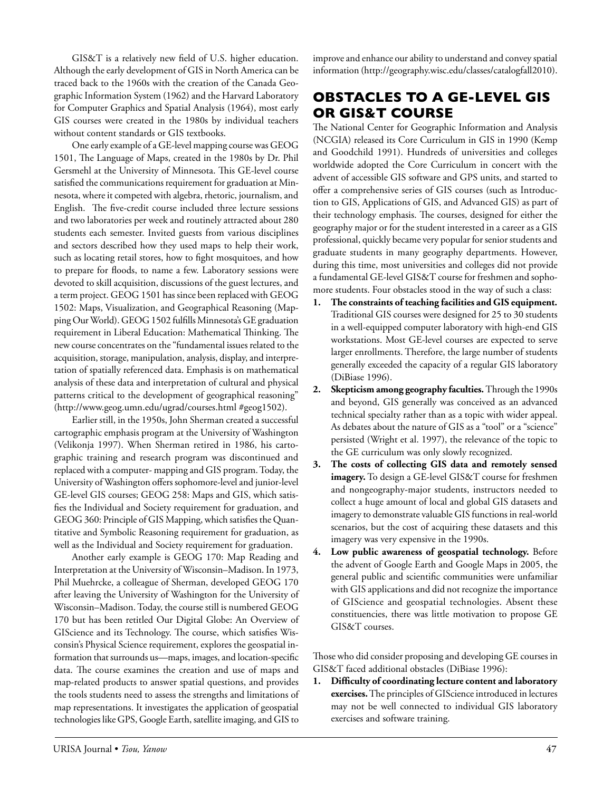GIS&T is a relatively new field of U.S. higher education. Although the early development of GIS in North America can be traced back to the 1960s with the creation of the Canada Geographic Information System (1962) and the Harvard Laboratory for Computer Graphics and Spatial Analysis (1964), most early GIS courses were created in the 1980s by individual teachers without content standards or GIS textbooks.

One early example of a GE-level mapping course was GEOG 1501, The Language of Maps, created in the 1980s by Dr. Phil Gersmehl at the University of Minnesota. This GE-level course satisfied the communications requirement for graduation at Minnesota, where it competed with algebra, rhetoric, journalism, and English. The five-credit course included three lecture sessions and two laboratories per week and routinely attracted about 280 students each semester. Invited guests from various disciplines and sectors described how they used maps to help their work, such as locating retail stores, how to fight mosquitoes, and how to prepare for floods, to name a few. Laboratory sessions were devoted to skill acquisition, discussions of the guest lectures, and a term project. GEOG 1501 has since been replaced with GEOG 1502: Maps, Visualization, and Geographical Reasoning (Mapping Our World). GEOG 1502 fulfills Minnesota's GE graduation requirement in Liberal Education: Mathematical Thinking. The new course concentrates on the "fundamental issues related to the acquisition, storage, manipulation, analysis, display, and interpretation of spatially referenced data. Emphasis is on mathematical analysis of these data and interpretation of cultural and physical patterns critical to the development of geographical reasoning" (http://www.geog.umn.edu/ugrad/courses.html #geog1502).

Earlier still, in the 1950s, John Sherman created a successful cartographic emphasis program at the University of Washington (Velikonja 1997). When Sherman retired in 1986, his cartographic training and research program was discontinued and replaced with a computer- mapping and GIS program. Today, the University of Washington offers sophomore-level and junior-level GE-level GIS courses; GEOG 258: Maps and GIS, which satisfies the Individual and Society requirement for graduation, and GEOG 360: Principle of GIS Mapping, which satisfies the Quantitative and Symbolic Reasoning requirement for graduation, as well as the Individual and Society requirement for graduation.

Another early example is GEOG 170: Map Reading and Interpretation at the University of Wisconsin–Madison. In 1973, Phil Muehrcke, a colleague of Sherman, developed GEOG 170 after leaving the University of Washington for the University of Wisconsin–Madison. Today, the course still is numbered GEOG 170 but has been retitled Our Digital Globe: An Overview of GIScience and its Technology. The course, which satisfies Wisconsin's Physical Science requirement, explores the geospatial information that surrounds us—maps, images, and location-specific data. The course examines the creation and use of maps and map-related products to answer spatial questions, and provides the tools students need to assess the strengths and limitations of map representations. It investigates the application of geospatial technologies like GPS, Google Earth, satellite imaging, and GIS to

improve and enhance our ability to understand and convey spatial information (http://geography.wisc.edu/classes/catalogfall2010).

# **Obstacles to a GE-level GIS or GIS&T Course**

The National Center for Geographic Information and Analysis (NCGIA) released its Core Curriculum in GIS in 1990 (Kemp and Goodchild 1991). Hundreds of universities and colleges worldwide adopted the Core Curriculum in concert with the advent of accessible GIS software and GPS units, and started to offer a comprehensive series of GIS courses (such as Introduction to GIS, Applications of GIS, and Advanced GIS) as part of their technology emphasis. The courses, designed for either the geography major or for the student interested in a career as a GIS professional, quickly became very popular for senior students and graduate students in many geography departments. However, during this time, most universities and colleges did not provide a fundamental GE-level GIS&T course for freshmen and sophomore students. Four obstacles stood in the way of such a class:

- **1. The constraints of teaching facilities and GIS equipment.** Traditional GIS courses were designed for 25 to 30 students in a well-equipped computer laboratory with high-end GIS workstations. Most GE-level courses are expected to serve larger enrollments. Therefore, the large number of students generally exceeded the capacity of a regular GIS laboratory (DiBiase 1996).
- **2. Skepticism among geography faculties.** Through the 1990s and beyond, GIS generally was conceived as an advanced technical specialty rather than as a topic with wider appeal. As debates about the nature of GIS as a "tool" or a "science" persisted (Wright et al. 1997), the relevance of the topic to the GE curriculum was only slowly recognized.
- **3. The costs of collecting GIS data and remotely sensed imagery.** To design a GE-level GIS&T course for freshmen and nongeography-major students, instructors needed to collect a huge amount of local and global GIS datasets and imagery to demonstrate valuable GIS functions in real-world scenarios, but the cost of acquiring these datasets and this imagery was very expensive in the 1990s.
- **4. Low public awareness of geospatial technology.** Before the advent of Google Earth and Google Maps in 2005, the general public and scientific communities were unfamiliar with GIS applications and did not recognize the importance of GIScience and geospatial technologies. Absent these constituencies, there was little motivation to propose GE GIS&T courses.

Those who did consider proposing and developing GE courses in GIS&T faced additional obstacles (DiBiase 1996):

**1. Difficulty of coordinating lecture content and laboratory exercises.** The principles of GIScience introduced in lectures may not be well connected to individual GIS laboratory exercises and software training.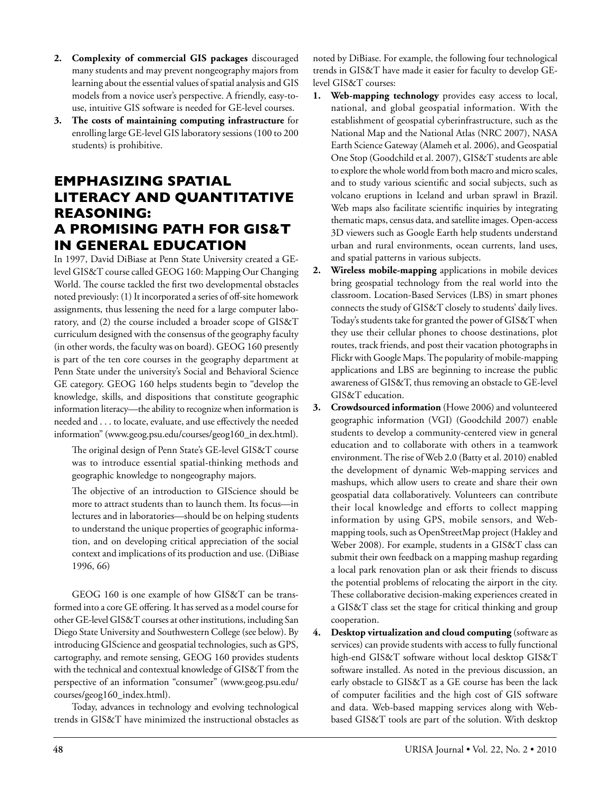- **2. Complexity of commercial GIS packages** discouraged many students and may prevent nongeography majors from learning about the essential values of spatial analysis and GIS models from a novice user's perspective. A friendly, easy-touse, intuitive GIS software is needed for GE-level courses.
- **3. The costs of maintaining computing infrastructure** for enrolling large GE-level GIS laboratory sessions (100 to 200 students) is prohibitive.

## **Emphasizing Spatial Literacy and Quantitative Reasoning: A Promising Path for GIS&T in General Education**

In 1997, David DiBiase at Penn State University created a GElevel GIS&T course called GEOG 160: Mapping Our Changing World. The course tackled the first two developmental obstacles noted previously: (1) It incorporated a series of off-site homework assignments, thus lessening the need for a large computer laboratory, and (2) the course included a broader scope of GIS&T curriculum designed with the consensus of the geography faculty (in other words, the faculty was on board). GEOG 160 presently is part of the ten core courses in the geography department at Penn State under the university's Social and Behavioral Science GE category. GEOG 160 helps students begin to "develop the knowledge, skills, and dispositions that constitute geographic information literacy—the ability to recognize when information is needed and . . . to locate, evaluate, and use effectively the needed information" (www.geog.psu.edu/courses/geog160\_in dex.html).

The original design of Penn State's GE-level GIS&T course was to introduce essential spatial-thinking methods and geographic knowledge to nongeography majors.

The objective of an introduction to GIScience should be more to attract students than to launch them. Its focus—in lectures and in laboratories—should be on helping students to understand the unique properties of geographic information, and on developing critical appreciation of the social context and implications of its production and use. (DiBiase 1996, 66)

GEOG 160 is one example of how GIS&T can be transformed into a core GE offering. It has served as a model course for other GE-level GIS&T courses at other institutions, including San Diego State University and Southwestern College (see below). By introducing GIScience and geospatial technologies, such as GPS, cartography, and remote sensing, GEOG 160 provides students with the technical and contextual knowledge of GIS&T from the perspective of an information "consumer" (www.geog.psu.edu/ courses/geog160\_index.html).

Today, advances in technology and evolving technological trends in GIS&T have minimized the instructional obstacles as noted by DiBiase. For example, the following four technological trends in GIS&T have made it easier for faculty to develop GElevel GIS&T courses:

- **1. Web-mapping technology** provides easy access to local, national, and global geospatial information. With the establishment of geospatial cyberinfrastructure, such as the National Map and the National Atlas (NRC 2007), NASA Earth Science Gateway (Alameh et al. 2006), and Geospatial One Stop (Goodchild et al. 2007), GIS&T students are able to explore the whole world from both macro and micro scales, and to study various scientific and social subjects, such as volcano eruptions in Iceland and urban sprawl in Brazil. Web maps also facilitate scientific inquiries by integrating thematic maps, census data, and satellite images. Open-access 3D viewers such as Google Earth help students understand urban and rural environments, ocean currents, land uses, and spatial patterns in various subjects.
- **2. Wireless mobile-mapping** applications in mobile devices bring geospatial technology from the real world into the classroom. Location-Based Services (LBS) in smart phones connects the study of GIS&T closely to students' daily lives. Today's students take for granted the power of GIS&T when they use their cellular phones to choose destinations, plot routes, track friends, and post their vacation photographs in Flickr with Google Maps. The popularity of mobile-mapping applications and LBS are beginning to increase the public awareness of GIS&T, thus removing an obstacle to GE-level GIS&T education.
- **3. Crowdsourced information** (Howe 2006) and volunteered geographic information (VGI) (Goodchild 2007) enable students to develop a community-centered view in general education and to collaborate with others in a teamwork environment. The rise of Web 2.0 (Batty et al. 2010) enabled the development of dynamic Web-mapping services and mashups, which allow users to create and share their own geospatial data collaboratively. Volunteers can contribute their local knowledge and efforts to collect mapping information by using GPS, mobile sensors, and Webmapping tools, such as OpenStreetMap project (Hakley and Weber 2008). For example, students in a GIS&T class can submit their own feedback on a mapping mashup regarding a local park renovation plan or ask their friends to discuss the potential problems of relocating the airport in the city. These collaborative decision-making experiences created in a GIS&T class set the stage for critical thinking and group cooperation.
- **4. Desktop virtualization and cloud computing** (software as services) can provide students with access to fully functional high-end GIS&T software without local desktop GIS&T software installed. As noted in the previous discussion, an early obstacle to GIS&T as a GE course has been the lack of computer facilities and the high cost of GIS software and data. Web-based mapping services along with Webbased GIS&T tools are part of the solution. With desktop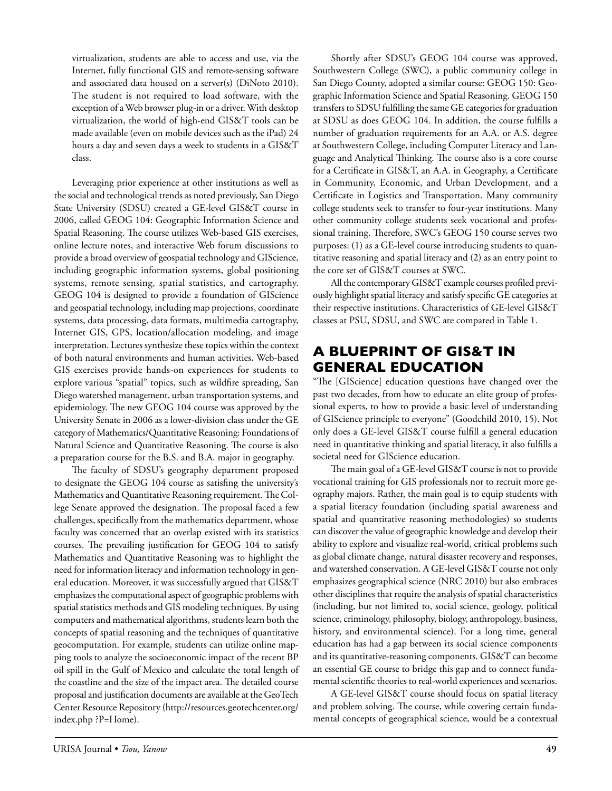virtualization, students are able to access and use, via the Internet, fully functional GIS and remote-sensing software and associated data housed on a server(s) (DiNoto 2010). The student is not required to load software, with the exception of a Web browser plug-in or a driver. With desktop virtualization, the world of high-end GIS&T tools can be made available (even on mobile devices such as the iPad) 24 hours a day and seven days a week to students in a GIS&T class.

Leveraging prior experience at other institutions as well as the social and technological trends as noted previously, San Diego State University (SDSU) created a GE-level GIS&T course in 2006, called GEOG 104: Geographic Information Science and Spatial Reasoning. The course utilizes Web-based GIS exercises, online lecture notes, and interactive Web forum discussions to provide a broad overview of geospatial technology and GIScience, including geographic information systems, global positioning systems, remote sensing, spatial statistics, and cartography. GEOG 104 is designed to provide a foundation of GIScience and geospatial technology, including map projections, coordinate systems, data processing, data formats, multimedia cartography, Internet GIS, GPS, location/allocation modeling, and image interpretation. Lectures synthesize these topics within the context of both natural environments and human activities. Web-based GIS exercises provide hands-on experiences for students to explore various "spatial" topics, such as wildfire spreading, San Diego watershed management, urban transportation systems, and epidemiology. The new GEOG 104 course was approved by the University Senate in 2006 as a lower-division class under the GE category of Mathematics/Quantitative Reasoning: Foundations of Natural Science and Quantitative Reasoning. The course is also a preparation course for the B.S. and B.A. major in geography.

The faculty of SDSU's geography department proposed to designate the GEOG 104 course as satisfing the university's Mathematics and Quantitative Reasoning requirement. The College Senate approved the designation. The proposal faced a few challenges, specifically from the mathematics department, whose faculty was concerned that an overlap existed with its statistics courses. The prevailing justification for GEOG 104 to satisfy Mathematics and Quantitative Reasoning was to highlight the need for information literacy and information technology in general education. Moreover, it was successfully argued that GIS&T emphasizes the computational aspect of geographic problems with spatial statistics methods and GIS modeling techniques. By using computers and mathematical algorithms, students learn both the concepts of spatial reasoning and the techniques of quantitative geocomputation. For example, students can utilize online mapping tools to analyze the socioeconomic impact of the recent BP oil spill in the Gulf of Mexico and calculate the total length of the coastline and the size of the impact area. The detailed course proposal and justification documents are available at the GeoTech Center Resource Repository (http://resources.geotechcenter.org/ index.php ?P=Home).

Shortly after SDSU's GEOG 104 course was approved, Southwestern College (SWC), a public community college in San Diego County, adopted a similar course: GEOG 150: Geographic Information Science and Spatial Reasoning. GEOG 150 transfers to SDSU fulfilling the same GE categories for graduation at SDSU as does GEOG 104. In addition, the course fulfills a number of graduation requirements for an A.A. or A.S. degree at Southwestern College, including Computer Literacy and Language and Analytical Thinking. The course also is a core course for a Certificate in GIS&T, an A.A. in Geography, a Certificate in Community, Economic, and Urban Development, and a Certificate in Logistics and Transportation. Many community college students seek to transfer to four-year institutions. Many other community college students seek vocational and professional training. Therefore, SWC's GEOG 150 course serves two purposes: (1) as a GE-level course introducing students to quantitative reasoning and spatial literacy and (2) as an entry point to the core set of GIS&T courses at SWC.

All the contemporary GIS&T example courses profiled previously highlight spatial literacy and satisfy specific GE categories at their respective institutions. Characteristics of GE-level GIS&T classes at PSU, SDSU, and SWC are compared in Table 1.

# **A Blueprint of GIS&T in General Education**

"The [GIScience] education questions have changed over the past two decades, from how to educate an elite group of professional experts, to how to provide a basic level of understanding of GIScience principle to everyone" (Goodchild 2010, 15). Not only does a GE-level GIS&T course fulfill a general education need in quantitative thinking and spatial literacy, it also fulfills a societal need for GIScience education.

The main goal of a GE-level GIS&T course is not to provide vocational training for GIS professionals nor to recruit more geography majors. Rather, the main goal is to equip students with a spatial literacy foundation (including spatial awareness and spatial and quantitative reasoning methodologies) so students can discover the value of geographic knowledge and develop their ability to explore and visualize real-world, critical problems such as global climate change, natural disaster recovery and responses, and watershed conservation. A GE-level GIS&T course not only emphasizes geographical science (NRC 2010) but also embraces other disciplines that require the analysis of spatial characteristics (including, but not limited to, social science, geology, political science, criminology, philosophy, biology, anthropology, business, history, and environmental science). For a long time, general education has had a gap between its social science components and its quantitative-reasoning components. GIS&T can become an essential GE course to bridge this gap and to connect fundamental scientific theories to real-world experiences and scenarios.

A GE-level GIS&T course should focus on spatial literacy and problem solving. The course, while covering certain fundamental concepts of geographical science, would be a contextual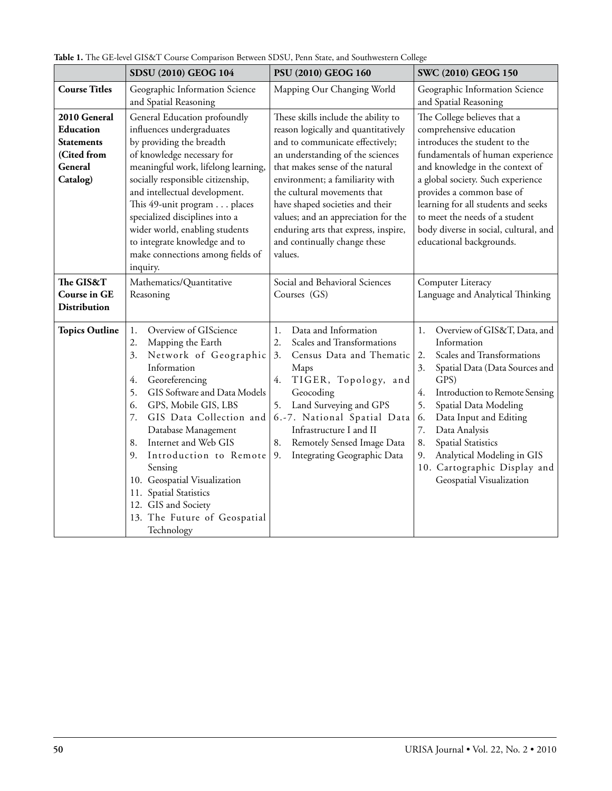|                                                                                      | SDSU (2010) GEOG 104                                                                                                                                                                                                                                                                                                                                                                                                                                               | PSU (2010) GEOG 160                                                                                                                                                                                                                                                                                                                                                                                                 | SWC (2010) GEOG 150                                                                                                                                                                                                                                                                                                                                                                                    |
|--------------------------------------------------------------------------------------|--------------------------------------------------------------------------------------------------------------------------------------------------------------------------------------------------------------------------------------------------------------------------------------------------------------------------------------------------------------------------------------------------------------------------------------------------------------------|---------------------------------------------------------------------------------------------------------------------------------------------------------------------------------------------------------------------------------------------------------------------------------------------------------------------------------------------------------------------------------------------------------------------|--------------------------------------------------------------------------------------------------------------------------------------------------------------------------------------------------------------------------------------------------------------------------------------------------------------------------------------------------------------------------------------------------------|
| <b>Course Titles</b>                                                                 | Geographic Information Science<br>and Spatial Reasoning                                                                                                                                                                                                                                                                                                                                                                                                            | Mapping Our Changing World                                                                                                                                                                                                                                                                                                                                                                                          | Geographic Information Science<br>and Spatial Reasoning                                                                                                                                                                                                                                                                                                                                                |
| 2010 General<br>Education<br><b>Statements</b><br>(Cited from<br>General<br>Catalog) | General Education profoundly<br>influences undergraduates<br>by providing the breadth<br>of knowledge necessary for<br>meaningful work, lifelong learning,<br>socially responsible citizenship,<br>and intellectual development.<br>This 49-unit program places<br>specialized disciplines into a<br>wider world, enabling students<br>to integrate knowledge and to<br>make connections among fields of<br>inquiry.                                               | These skills include the ability to<br>reason logically and quantitatively<br>and to communicate effectively;<br>an understanding of the sciences<br>that makes sense of the natural<br>environment; a familiarity with<br>the cultural movements that<br>have shaped societies and their<br>values; and an appreciation for the<br>enduring arts that express, inspire,<br>and continually change these<br>values. | The College believes that a<br>comprehensive education<br>introduces the student to the<br>fundamentals of human experience<br>and knowledge in the context of<br>a global society. Such experience<br>provides a common base of<br>learning for all students and seeks<br>to meet the needs of a student<br>body diverse in social, cultural, and<br>educational backgrounds.                         |
| The GIS&T<br>Course in GE<br>Distribution                                            | Mathematics/Quantitative<br>Reasoning                                                                                                                                                                                                                                                                                                                                                                                                                              | Social and Behavioral Sciences<br>Courses (GS)                                                                                                                                                                                                                                                                                                                                                                      | Computer Literacy<br>Language and Analytical Thinking                                                                                                                                                                                                                                                                                                                                                  |
| <b>Topics Outline</b>                                                                | Overview of GIScience<br>$1.$<br>Mapping the Earth<br>2.<br>3.<br>Network of Geographic<br>Information<br>Georeferencing<br>4.<br>5.<br>GIS Software and Data Models<br>GPS, Mobile GIS, LBS<br>6.<br>7.<br>GIS Data Collection and<br>Database Management<br>Internet and Web GIS<br>8.<br>9.<br>Introduction to Remote<br>Sensing<br>10. Geospatial Visualization<br>11. Spatial Statistics<br>12. GIS and Society<br>13. The Future of Geospatial<br>Technology | Data and Information<br>1.<br>2.<br>Scales and Transformations<br>Census Data and Thematic<br>3.<br>Maps<br>TIGER, Topology, and<br>4.<br>Geocoding<br>Land Surveying and GPS<br>5.<br>6.-7. National Spatial Data<br>Infrastructure I and II<br>8.<br>Remotely Sensed Image Data<br>Integrating Geographic Data<br>9.                                                                                              | Overview of GIS&T, Data, and<br>1.<br>Information<br>Scales and Transformations<br>2.<br>3.<br>Spatial Data (Data Sources and<br>GPS)<br>Introduction to Remote Sensing<br>4.<br>5.<br>Spatial Data Modeling<br>Data Input and Editing<br>6.<br>7.<br>Data Analysis<br><b>Spatial Statistics</b><br>8.<br>Analytical Modeling in GIS<br>9.<br>10. Cartographic Display and<br>Geospatial Visualization |

**Table 1.** The GE-level GIS&T Course Comparison Between SDSU, Penn State, and Southwestern College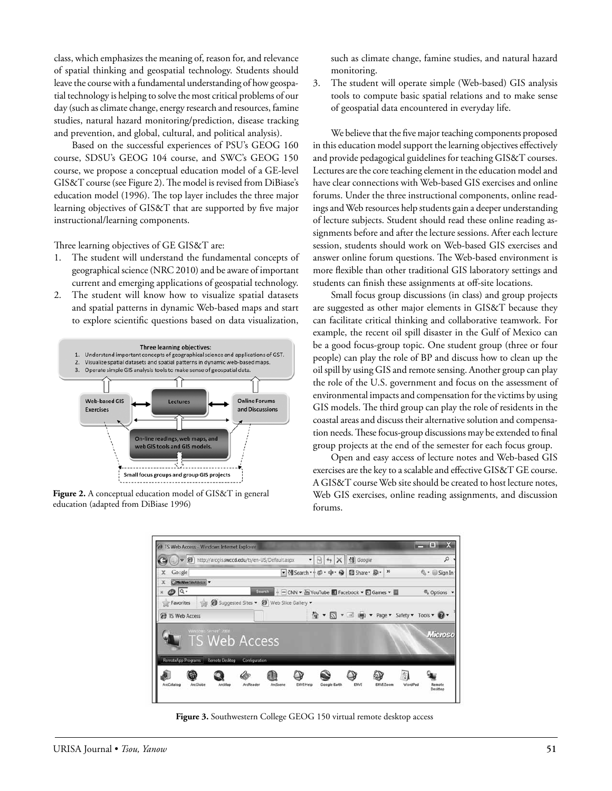class, which emphasizes the meaning of, reason for, and relevance of spatial thinking and geospatial technology. Students should leave the course with a fundamental understanding of how geospatial technology is helping to solve the most critical problems of our day (such as climate change, energy research and resources, famine studies, natural hazard monitoring/prediction, disease tracking and prevention, and global, cultural, and political analysis).

Based on the successful experiences of PSU's GEOG 160 course, SDSU's GEOG 104 course, and SWC's GEOG 150 course, we propose a conceptual education model of a GE-level GIS&T course (see Figure 2). The model is revised from DiBiase's education model (1996). The top layer includes the three major learning objectives of GIS&T that are supported by five major instructional/learning components.

Three learning objectives of GE GIS&T are:

- 1. The student will understand the fundamental concepts of geographical science (NRC 2010) and be aware of important current and emerging applications of geospatial technology.
- 2. The student will know how to visualize spatial datasets and spatial patterns in dynamic Web-based maps and start to explore scientific questions based on data visualization,



**Figure 2.** A conceptual education model of GIS&T in general education (adapted from DiBiase 1996)

such as climate change, famine studies, and natural hazard monitoring.

3. The student will operate simple (Web-based) GIS analysis tools to compute basic spatial relations and to make sense of geospatial data encountered in everyday life.

We believe that the five major teaching components proposed in this education model support the learning objectives effectively and provide pedagogical guidelines for teaching GIS&T courses. Lectures are the core teaching element in the education model and have clear connections with Web-based GIS exercises and online forums. Under the three instructional components, online readings and Web resources help students gain a deeper understanding of lecture subjects. Student should read these online reading assignments before and after the lecture sessions. After each lecture session, students should work on Web-based GIS exercises and answer online forum questions. The Web-based environment is more flexible than other traditional GIS laboratory settings and students can finish these assignments at off-site locations.

Small focus group discussions (in class) and group projects are suggested as other major elements in GIS&T because they can facilitate critical thinking and collaborative teamwork. For example, the recent oil spill disaster in the Gulf of Mexico can be a good focus-group topic. One student group (three or four people) can play the role of BP and discuss how to clean up the oil spill by using GIS and remote sensing. Another group can play the role of the U.S. government and focus on the assessment of environmental impacts and compensation for the victims by using GIS models. The third group can play the role of residents in the coastal areas and discuss their alternative solution and compensation needs. These focus-group discussions may be extended to final group projects at the end of the semester for each focus group.

Open and easy access of lecture notes and Web-based GIS exercises are the key to a scalable and effective GIS&T GE course. A GIS&T course Web site should be created to host lecture notes, Web GIS exercises, online reading assignments, and discussion forums.



**Figure 3.** Southwestern College GEOG 150 virtual remote desktop access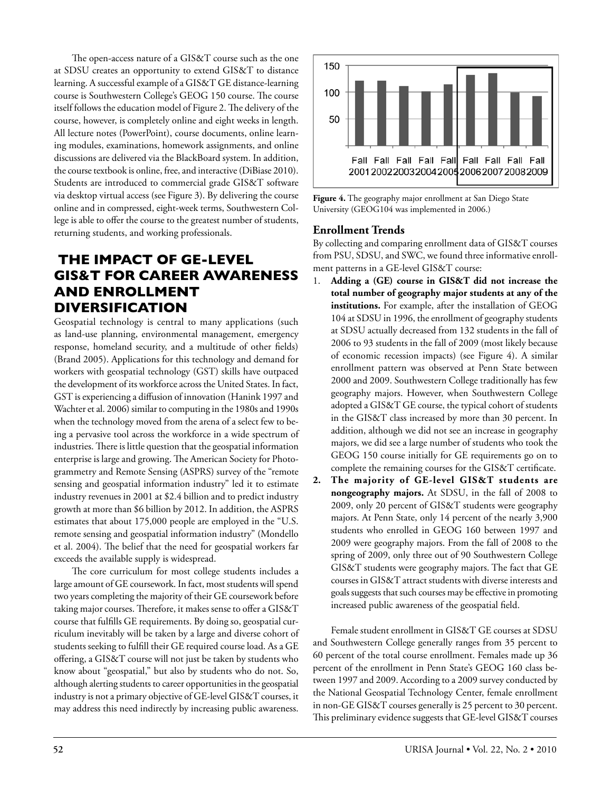The open-access nature of a GIS&T course such as the one at SDSU creates an opportunity to extend GIS&T to distance learning. A successful example of a GIS&T GE distance-learning course is Southwestern College's GEOG 150 course. The course itself follows the education model of Figure 2. The delivery of the course, however, is completely online and eight weeks in length. All lecture notes (PowerPoint), course documents, online learning modules, examinations, homework assignments, and online discussions are delivered via the BlackBoard system. In addition, the course textbook is online, free, and interactive (DiBiase 2010). Students are introduced to commercial grade GIS&T software via desktop virtual access (see Figure 3). By delivering the course online and in compressed, eight-week terms, Southwestern College is able to offer the course to the greatest number of students, returning students, and working professionals.

# **The Impact of GE-level GIS&T for Career Awareness and Enrollment Diversification**

Geospatial technology is central to many applications (such as land-use planning, environmental management, emergency response, homeland security, and a multitude of other fields) (Brand 2005). Applications for this technology and demand for workers with geospatial technology (GST) skills have outpaced the development of its workforce across the United States. In fact, GST is experiencing a diffusion of innovation (Hanink 1997 and Wachter et al. 2006) similar to computing in the 1980s and 1990s when the technology moved from the arena of a select few to being a pervasive tool across the workforce in a wide spectrum of industries. There is little question that the geospatial information enterprise is large and growing. The American Society for Photogrammetry and Remote Sensing (ASPRS) survey of the "remote sensing and geospatial information industry" led it to estimate industry revenues in 2001 at \$2.4 billion and to predict industry growth at more than \$6 billion by 2012. In addition, the ASPRS estimates that about 175,000 people are employed in the "U.S. remote sensing and geospatial information industry" (Mondello et al. 2004). The belief that the need for geospatial workers far exceeds the available supply is widespread.

The core curriculum for most college students includes a large amount of GE coursework. In fact, most students will spend two years completing the majority of their GE coursework before taking major courses. Therefore, it makes sense to offer a GIS&T course that fulfills GE requirements. By doing so, geospatial curriculum inevitably will be taken by a large and diverse cohort of students seeking to fulfill their GE required course load. As a GE offering, a GIS&T course will not just be taken by students who know about "geospatial," but also by students who do not. So, although alerting students to career opportunities in the geospatial industry is not a primary objective of GE-level GIS&T courses, it may address this need indirectly by increasing public awareness.



**Figure 4.** The geography major enrollment at San Diego State University (GEOG104 was implemented in 2006.)

#### **Enrollment Trends**

By collecting and comparing enrollment data of GIS&T courses from PSU, SDSU, and SWC, we found three informative enrollment patterns in a GE-level GIS&T course:

- 1. **Adding a (GE) course in GIS&T did not increase the total number of geography major students at any of the institutions.** For example, after the installation of GEOG 104 at SDSU in 1996, the enrollment of geography students at SDSU actually decreased from 132 students in the fall of 2006 to 93 students in the fall of 2009 (most likely because of economic recession impacts) (see Figure 4). A similar enrollment pattern was observed at Penn State between 2000 and 2009. Southwestern College traditionally has few geography majors. However, when Southwestern College adopted a GIS&T GE course, the typical cohort of students in the GIS&T class increased by more than 30 percent. In addition, although we did not see an increase in geography majors, we did see a large number of students who took the GEOG 150 course initially for GE requirements go on to complete the remaining courses for the GIS&T certificate.
- **2. The majority of GE-level GIS&T students are nongeography majors.** At SDSU, in the fall of 2008 to 2009, only 20 percent of GIS&T students were geography majors. At Penn State, only 14 percent of the nearly 3,900 students who enrolled in GEOG 160 between 1997 and 2009 were geography majors. From the fall of 2008 to the spring of 2009, only three out of 90 Southwestern College GIS&T students were geography majors. The fact that GE courses in GIS&T attract students with diverse interests and goals suggests that such courses may be effective in promoting increased public awareness of the geospatial field.

Female student enrollment in GIS&T GE courses at SDSU and Southwestern College generally ranges from 35 percent to 60 percent of the total course enrollment. Females made up 36 percent of the enrollment in Penn State's GEOG 160 class between 1997 and 2009. According to a 2009 survey conducted by the National Geospatial Technology Center, female enrollment in non-GE GIS&T courses generally is 25 percent to 30 percent. This preliminary evidence suggests that GE-level GIS&T courses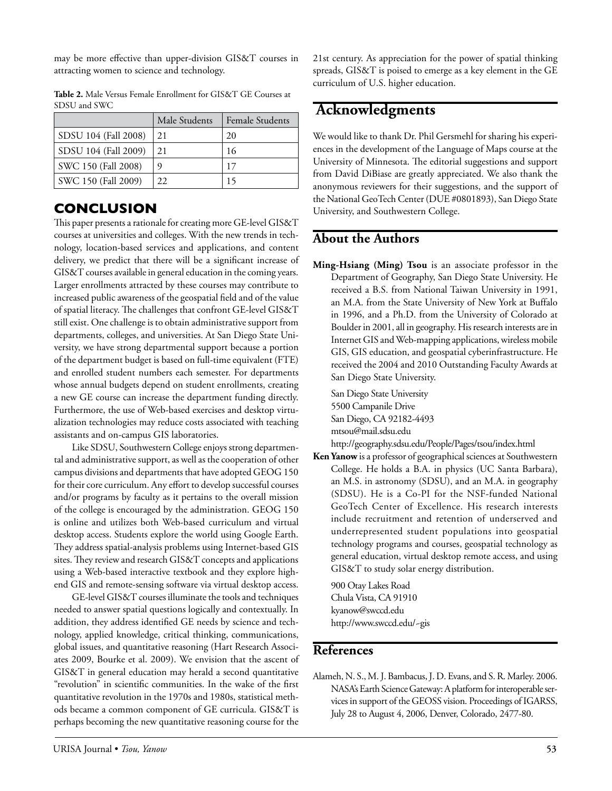may be more effective than upper-division GIS&T courses in attracting women to science and technology.

|                      | Male Students | <b>Female Students</b> |  |
|----------------------|---------------|------------------------|--|
| SDSU 104 (Fall 2008) | 21            | 20                     |  |
| SDSU 104 (Fall 2009) | 21            | 16                     |  |
| SWC 150 (Fall 2008)  | 9             | 17                     |  |
| SWC 150 (Fall 2009)  | 22.           |                        |  |

**Table 2.** Male Versus Female Enrollment for GIS&T GE Courses at SDSU and SWC

### **Conclusion**

This paper presents a rationale for creating more GE-level GIS&T courses at universities and colleges. With the new trends in technology, location-based services and applications, and content delivery, we predict that there will be a significant increase of GIS&T courses available in general education in the coming years. Larger enrollments attracted by these courses may contribute to increased public awareness of the geospatial field and of the value of spatial literacy. The challenges that confront GE-level GIS&T still exist. One challenge is to obtain administrative support from departments, colleges, and universities. At San Diego State University, we have strong departmental support because a portion of the department budget is based on full-time equivalent (FTE) and enrolled student numbers each semester. For departments whose annual budgets depend on student enrollments, creating a new GE course can increase the department funding directly. Furthermore, the use of Web-based exercises and desktop virtualization technologies may reduce costs associated with teaching assistants and on-campus GIS laboratories.

Like SDSU, Southwestern College enjoys strong departmental and administrative support, as well as the cooperation of other campus divisions and departments that have adopted GEOG 150 for their core curriculum. Any effort to develop successful courses and/or programs by faculty as it pertains to the overall mission of the college is encouraged by the administration. GEOG 150 is online and utilizes both Web-based curriculum and virtual desktop access. Students explore the world using Google Earth. They address spatial-analysis problems using Internet-based GIS sites. They review and research GIS&T concepts and applications using a Web-based interactive textbook and they explore highend GIS and remote-sensing software via virtual desktop access.

GE-level GIS&T courses illuminate the tools and techniques needed to answer spatial questions logically and contextually. In addition, they address identified GE needs by science and technology, applied knowledge, critical thinking, communications, global issues, and quantitative reasoning (Hart Research Associates 2009, Bourke et al. 2009). We envision that the ascent of GIS&T in general education may herald a second quantitative "revolution" in scientific communities. In the wake of the first quantitative revolution in the 1970s and 1980s, statistical methods became a common component of GE curricula. GIS&T is perhaps becoming the new quantitative reasoning course for the

21st century. As appreciation for the power of spatial thinking spreads, GIS&T is poised to emerge as a key element in the GE curriculum of U.S. higher education.

## **Acknowledgments**

We would like to thank Dr. Phil Gersmehl for sharing his experiences in the development of the Language of Maps course at the University of Minnesota. The editorial suggestions and support from David DiBiase are greatly appreciated. We also thank the anonymous reviewers for their suggestions, and the support of the National GeoTech Center (DUE #0801893), San Diego State University, and Southwestern College.

#### **About the Authors**

**Ming-Hsiang (Ming) Tsou** is an associate professor in the Department of Geography, San Diego State University. He received a B.S. from National Taiwan University in 1991, an M.A. from the State University of New York at Buffalo in 1996, and a Ph.D. from the University of Colorado at Boulder in 2001, all in geography. His research interests are in Internet GIS and Web-mapping applications, wireless mobile GIS, GIS education, and geospatial cyberinfrastructure. He received the 2004 and 2010 Outstanding Faculty Awards at San Diego State University.

San Diego State University 5500 Campanile Drive San Diego, CA 92182-4493 mtsou@mail.sdsu.edu

http://geography.sdsu.edu/People/Pages/tsou/index.html

**Ken Yanow** is a professor of geographical sciences at Southwestern College. He holds a B.A. in physics (UC Santa Barbara), an M.S. in astronomy (SDSU), and an M.A. in geography (SDSU). He is a Co-PI for the NSF-funded National GeoTech Center of Excellence. His research interests include recruitment and retention of underserved and underrepresented student populations into geospatial technology programs and courses, geospatial technology as general education, virtual desktop remote access, and using GIS&T to study solar energy distribution.

900 Otay Lakes Road Chula Vista, CA 91910 kyanow@swccd.edu http://www.swccd.edu/~gis

#### **References**

Alameh, N. S., M. J. Bambacus, J. D. Evans, and S. R. Marley. 2006. NASA's Earth Science Gateway: A platform for interoperable services in support of the GEOSS vision. Proceedings of IGARSS, July 28 to August 4, 2006, Denver, Colorado, 2477-80.